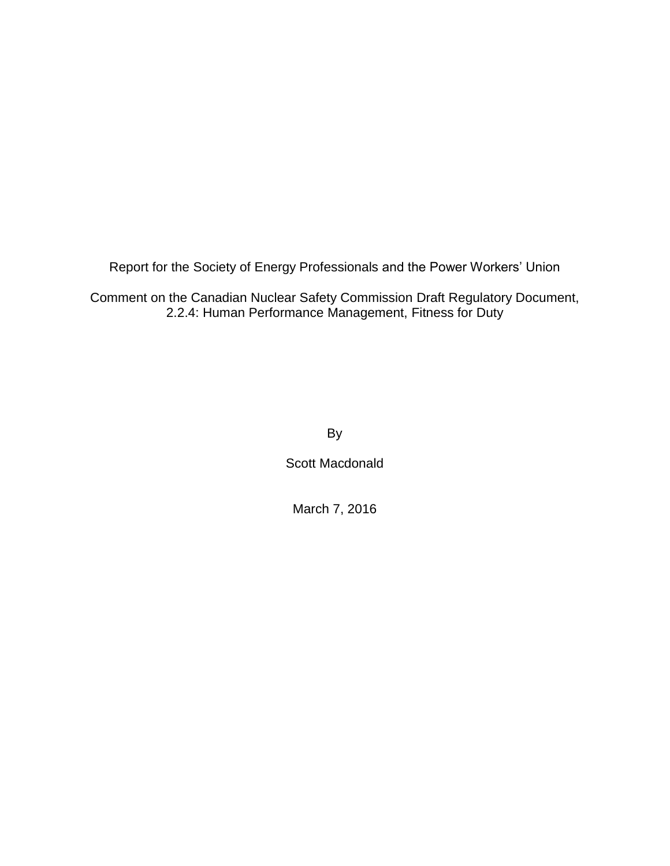Report for the Society of Energy Professionals and the Power Workers' Union

Comment on the Canadian Nuclear Safety Commission Draft Regulatory Document, 2.2.4: Human Performance Management, Fitness for Duty

By

Scott Macdonald

March 7, 2016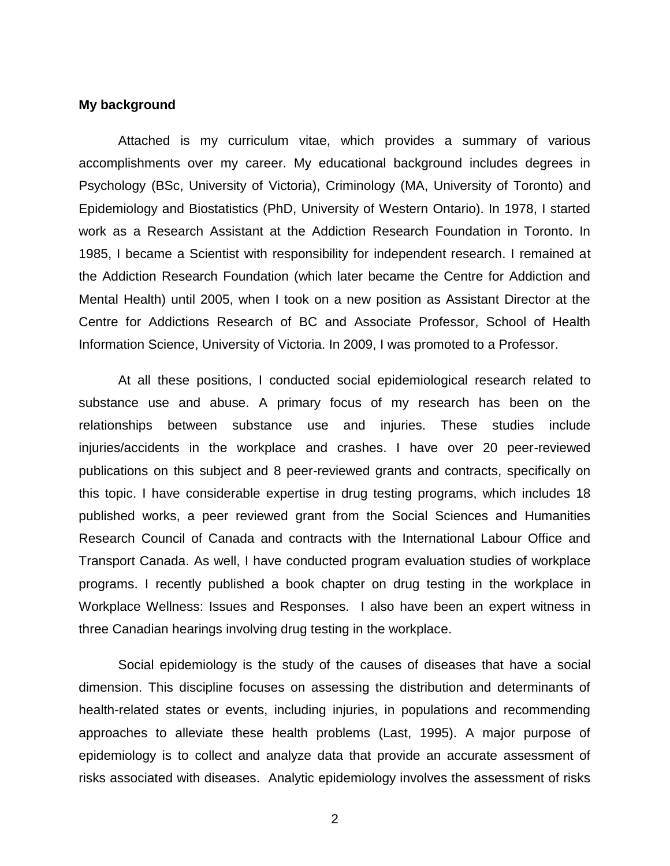#### **My background**

Attached is my curriculum vitae, which provides a summary of various accomplishments over my career. My educational background includes degrees in Psychology (BSc, University of Victoria), Criminology (MA, University of Toronto) and Epidemiology and Biostatistics (PhD, University of Western Ontario). In 1978, I started work as a Research Assistant at the Addiction Research Foundation in Toronto. In 1985, I became a Scientist with responsibility for independent research. I remained at the Addiction Research Foundation (which later became the Centre for Addiction and Mental Health) until 2005, when I took on a new position as Assistant Director at the Centre for Addictions Research of BC and Associate Professor, School of Health Information Science, University of Victoria. In 2009, I was promoted to a Professor.

At all these positions, I conducted social epidemiological research related to substance use and abuse. A primary focus of my research has been on the relationships between substance use and injuries. These studies include injuries/accidents in the workplace and crashes. I have over 20 peer-reviewed publications on this subject and 8 peer-reviewed grants and contracts, specifically on this topic. I have considerable expertise in drug testing programs, which includes 18 published works, a peer reviewed grant from the Social Sciences and Humanities Research Council of Canada and contracts with the International Labour Office and Transport Canada. As well, I have conducted program evaluation studies of workplace programs. I recently published a book chapter on drug testing in the workplace in Workplace Wellness: Issues and Responses. I also have been an expert witness in three Canadian hearings involving drug testing in the workplace.

Social epidemiology is the study of the causes of diseases that have a social dimension. This discipline focuses on assessing the distribution and determinants of health-related states or events, including injuries, in populations and recommending approaches to alleviate these health problems (Last, 1995). A major purpose of epidemiology is to collect and analyze data that provide an accurate assessment of risks associated with diseases. Analytic epidemiology involves the assessment of risks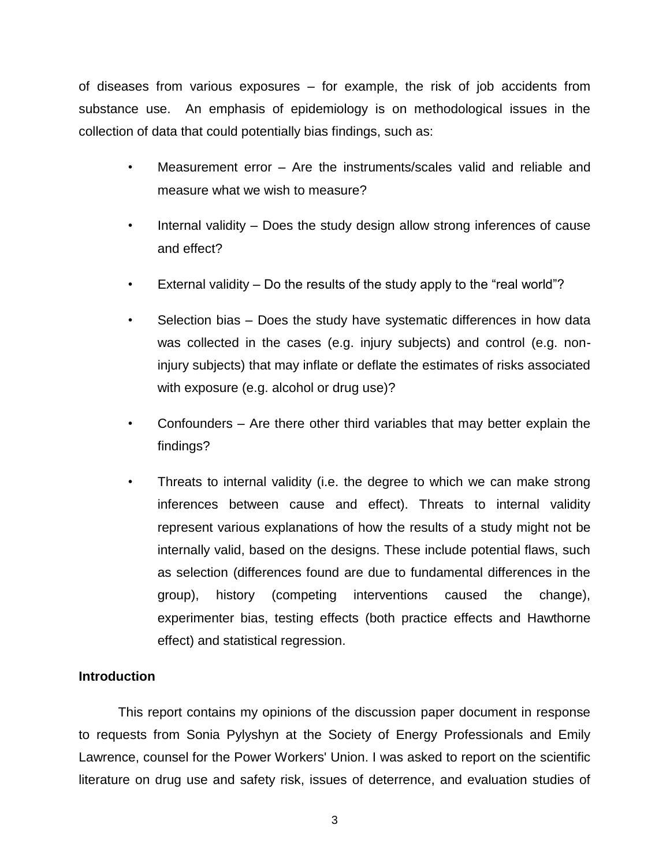of diseases from various exposures – for example, the risk of job accidents from substance use. An emphasis of epidemiology is on methodological issues in the collection of data that could potentially bias findings, such as:

- Measurement error Are the instruments/scales valid and reliable and measure what we wish to measure?
- Internal validity Does the study design allow strong inferences of cause and effect?
- External validity Do the results of the study apply to the "real world"?
- Selection bias Does the study have systematic differences in how data was collected in the cases (e.g. injury subjects) and control (e.g. noninjury subjects) that may inflate or deflate the estimates of risks associated with exposure (e.g. alcohol or drug use)?
- Confounders Are there other third variables that may better explain the findings?
- Threats to internal validity (i.e. the degree to which we can make strong inferences between cause and effect). Threats to internal validity represent various explanations of how the results of a study might not be internally valid, based on the designs. These include potential flaws, such as selection (differences found are due to fundamental differences in the group), history (competing interventions caused the change), experimenter bias, testing effects (both practice effects and Hawthorne effect) and statistical regression.

# **Introduction**

This report contains my opinions of the discussion paper document in response to requests from Sonia Pylyshyn at the Society of Energy Professionals and Emily Lawrence, counsel for the Power Workers' Union. I was asked to report on the scientific literature on drug use and safety risk, issues of deterrence, and evaluation studies of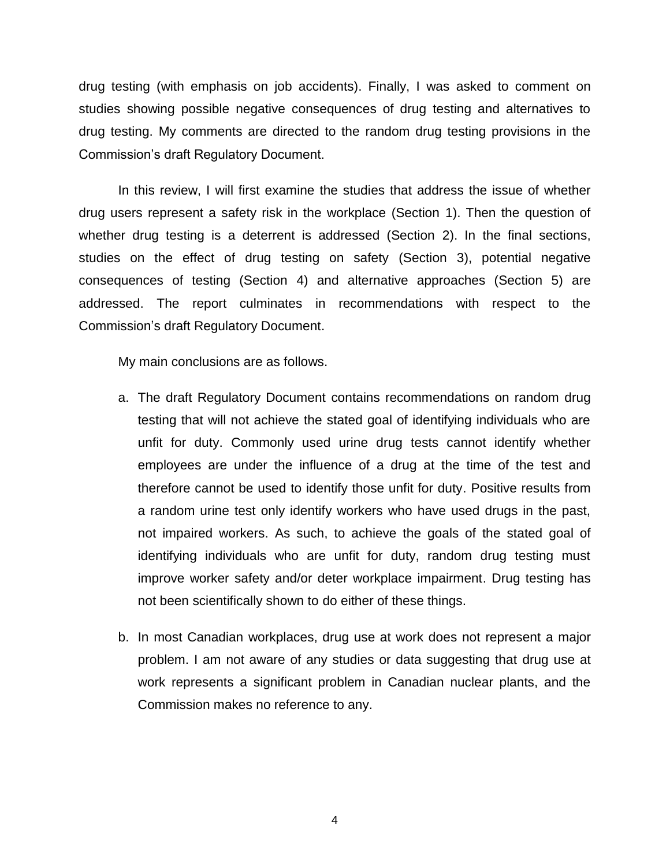drug testing (with emphasis on job accidents). Finally, I was asked to comment on studies showing possible negative consequences of drug testing and alternatives to drug testing. My comments are directed to the random drug testing provisions in the Commission's draft Regulatory Document.

In this review, I will first examine the studies that address the issue of whether drug users represent a safety risk in the workplace (Section 1). Then the question of whether drug testing is a deterrent is addressed (Section 2). In the final sections, studies on the effect of drug testing on safety (Section 3), potential negative consequences of testing (Section 4) and alternative approaches (Section 5) are addressed. The report culminates in recommendations with respect to the Commission's draft Regulatory Document.

My main conclusions are as follows.

- a. The draft Regulatory Document contains recommendations on random drug testing that will not achieve the stated goal of identifying individuals who are unfit for duty. Commonly used urine drug tests cannot identify whether employees are under the influence of a drug at the time of the test and therefore cannot be used to identify those unfit for duty. Positive results from a random urine test only identify workers who have used drugs in the past, not impaired workers. As such, to achieve the goals of the stated goal of identifying individuals who are unfit for duty, random drug testing must improve worker safety and/or deter workplace impairment. Drug testing has not been scientifically shown to do either of these things.
- b. In most Canadian workplaces, drug use at work does not represent a major problem. I am not aware of any studies or data suggesting that drug use at work represents a significant problem in Canadian nuclear plants, and the Commission makes no reference to any.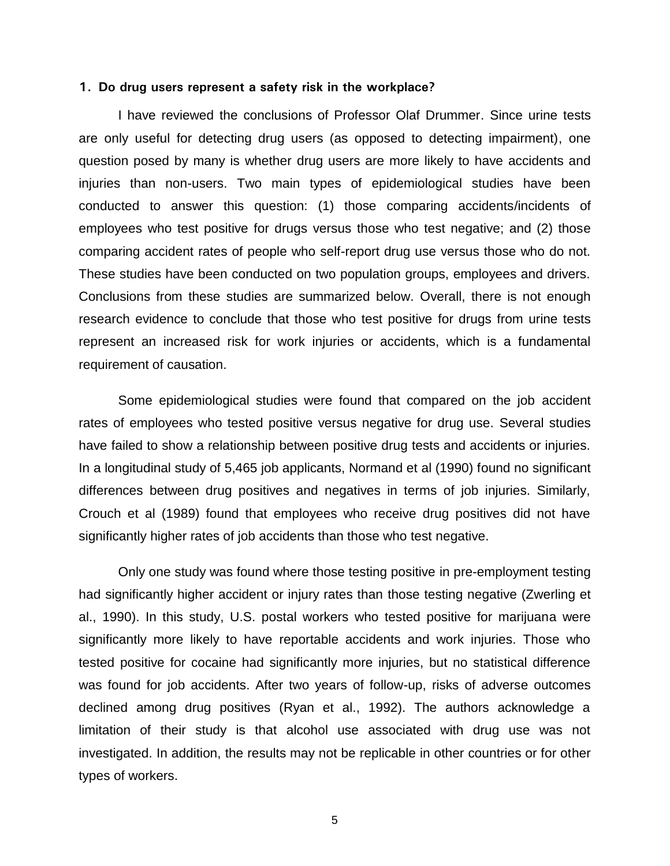#### **1. Do drug users represent a safety risk in the workplace?**

I have reviewed the conclusions of Professor Olaf Drummer. Since urine tests are only useful for detecting drug users (as opposed to detecting impairment), one question posed by many is whether drug users are more likely to have accidents and injuries than non-users. Two main types of epidemiological studies have been conducted to answer this question: (1) those comparing accidents/incidents of employees who test positive for drugs versus those who test negative; and (2) those comparing accident rates of people who self-report drug use versus those who do not. These studies have been conducted on two population groups, employees and drivers. Conclusions from these studies are summarized below. Overall, there is not enough research evidence to conclude that those who test positive for drugs from urine tests represent an increased risk for work injuries or accidents, which is a fundamental requirement of causation.

Some epidemiological studies were found that compared on the job accident rates of employees who tested positive versus negative for drug use. Several studies have failed to show a relationship between positive drug tests and accidents or injuries. In a longitudinal study of 5,465 job applicants, Normand et al (1990) found no significant differences between drug positives and negatives in terms of job injuries. Similarly, Crouch et al (1989) found that employees who receive drug positives did not have significantly higher rates of job accidents than those who test negative.

Only one study was found where those testing positive in pre-employment testing had significantly higher accident or injury rates than those testing negative (Zwerling et al., 1990). In this study, U.S. postal workers who tested positive for marijuana were significantly more likely to have reportable accidents and work injuries. Those who tested positive for cocaine had significantly more injuries, but no statistical difference was found for job accidents. After two years of follow-up, risks of adverse outcomes declined among drug positives (Ryan et al., 1992). The authors acknowledge a limitation of their study is that alcohol use associated with drug use was not investigated. In addition, the results may not be replicable in other countries or for other types of workers.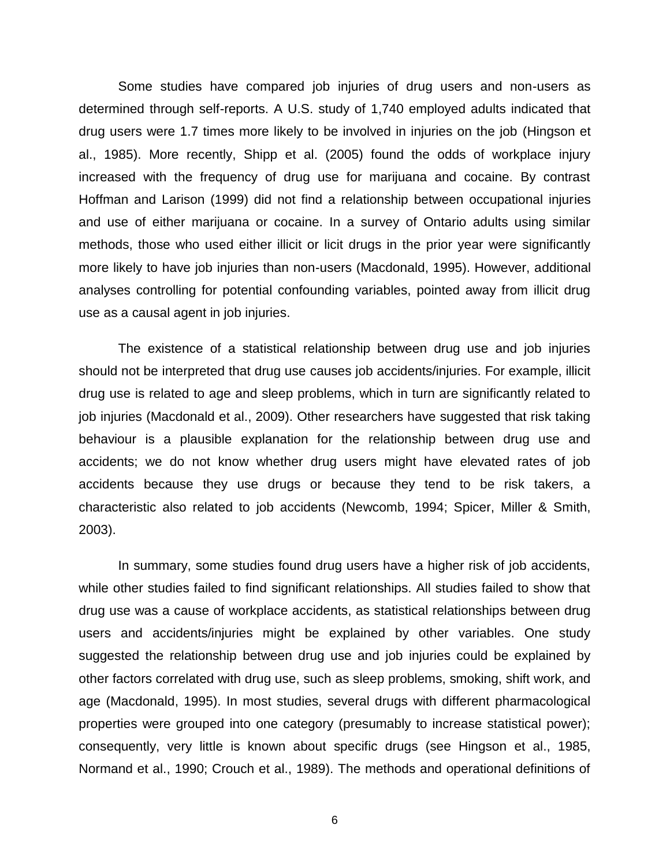Some studies have compared job injuries of drug users and non-users as determined through self-reports. A U.S. study of 1,740 employed adults indicated that drug users were 1.7 times more likely to be involved in injuries on the job (Hingson et al., 1985). More recently, Shipp et al. (2005) found the odds of workplace injury increased with the frequency of drug use for marijuana and cocaine. By contrast Hoffman and Larison (1999) did not find a relationship between occupational injuries and use of either marijuana or cocaine. In a survey of Ontario adults using similar methods, those who used either illicit or licit drugs in the prior year were significantly more likely to have job injuries than non-users (Macdonald, 1995). However, additional analyses controlling for potential confounding variables, pointed away from illicit drug use as a causal agent in job injuries.

The existence of a statistical relationship between drug use and job injuries should not be interpreted that drug use causes job accidents/injuries. For example, illicit drug use is related to age and sleep problems, which in turn are significantly related to job injuries (Macdonald et al., 2009). Other researchers have suggested that risk taking behaviour is a plausible explanation for the relationship between drug use and accidents; we do not know whether drug users might have elevated rates of job accidents because they use drugs or because they tend to be risk takers, a characteristic also related to job accidents (Newcomb, 1994; Spicer, Miller & Smith, 2003).

In summary, some studies found drug users have a higher risk of job accidents, while other studies failed to find significant relationships. All studies failed to show that drug use was a cause of workplace accidents, as statistical relationships between drug users and accidents/injuries might be explained by other variables. One study suggested the relationship between drug use and job injuries could be explained by other factors correlated with drug use, such as sleep problems, smoking, shift work, and age (Macdonald, 1995). In most studies, several drugs with different pharmacological properties were grouped into one category (presumably to increase statistical power); consequently, very little is known about specific drugs (see Hingson et al., 1985, Normand et al., 1990; Crouch et al., 1989). The methods and operational definitions of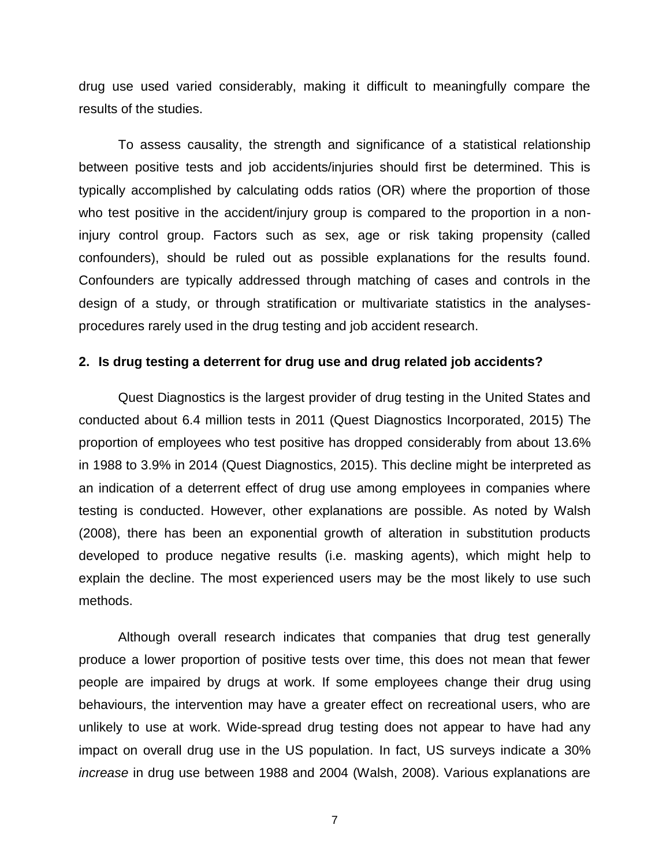drug use used varied considerably, making it difficult to meaningfully compare the results of the studies.

To assess causality, the strength and significance of a statistical relationship between positive tests and job accidents/injuries should first be determined. This is typically accomplished by calculating odds ratios (OR) where the proportion of those who test positive in the accident/injury group is compared to the proportion in a noninjury control group. Factors such as sex, age or risk taking propensity (called confounders), should be ruled out as possible explanations for the results found. Confounders are typically addressed through matching of cases and controls in the design of a study, or through stratification or multivariate statistics in the analysesprocedures rarely used in the drug testing and job accident research.

## **2. Is drug testing a deterrent for drug use and drug related job accidents?**

Quest Diagnostics is the largest provider of drug testing in the United States and conducted about 6.4 million tests in 2011 (Quest Diagnostics Incorporated, 2015) The proportion of employees who test positive has dropped considerably from about 13.6% in 1988 to 3.9% in 2014 (Quest Diagnostics, 2015). This decline might be interpreted as an indication of a deterrent effect of drug use among employees in companies where testing is conducted. However, other explanations are possible. As noted by Walsh (2008), there has been an exponential growth of alteration in substitution products developed to produce negative results (i.e. masking agents), which might help to explain the decline. The most experienced users may be the most likely to use such methods.

Although overall research indicates that companies that drug test generally produce a lower proportion of positive tests over time, this does not mean that fewer people are impaired by drugs at work. If some employees change their drug using behaviours, the intervention may have a greater effect on recreational users, who are unlikely to use at work. Wide-spread drug testing does not appear to have had any impact on overall drug use in the US population. In fact, US surveys indicate a 30% *increase* in drug use between 1988 and 2004 (Walsh, 2008). Various explanations are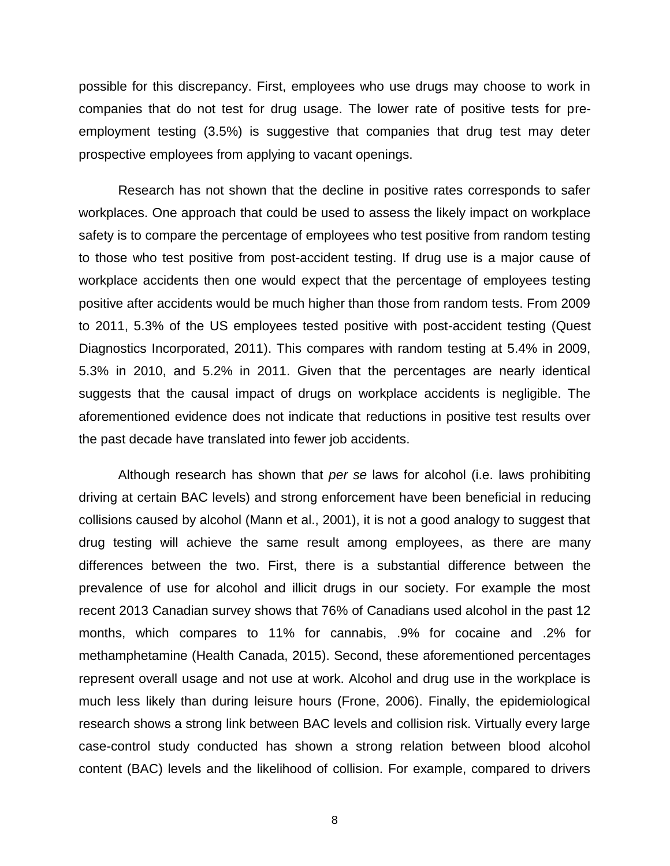possible for this discrepancy. First, employees who use drugs may choose to work in companies that do not test for drug usage. The lower rate of positive tests for preemployment testing (3.5%) is suggestive that companies that drug test may deter prospective employees from applying to vacant openings.

Research has not shown that the decline in positive rates corresponds to safer workplaces. One approach that could be used to assess the likely impact on workplace safety is to compare the percentage of employees who test positive from random testing to those who test positive from post-accident testing. If drug use is a major cause of workplace accidents then one would expect that the percentage of employees testing positive after accidents would be much higher than those from random tests. From 2009 to 2011, 5.3% of the US employees tested positive with post-accident testing (Quest Diagnostics Incorporated, 2011). This compares with random testing at 5.4% in 2009, 5.3% in 2010, and 5.2% in 2011. Given that the percentages are nearly identical suggests that the causal impact of drugs on workplace accidents is negligible. The aforementioned evidence does not indicate that reductions in positive test results over the past decade have translated into fewer job accidents.

Although research has shown that *per se* laws for alcohol (i.e. laws prohibiting driving at certain BAC levels) and strong enforcement have been beneficial in reducing collisions caused by alcohol (Mann et al., 2001), it is not a good analogy to suggest that drug testing will achieve the same result among employees, as there are many differences between the two. First, there is a substantial difference between the prevalence of use for alcohol and illicit drugs in our society. For example the most recent 2013 Canadian survey shows that 76% of Canadians used alcohol in the past 12 months, which compares to 11% for cannabis, .9% for cocaine and .2% for methamphetamine (Health Canada, 2015). Second, these aforementioned percentages represent overall usage and not use at work. Alcohol and drug use in the workplace is much less likely than during leisure hours (Frone, 2006). Finally, the epidemiological research shows a strong link between BAC levels and collision risk. Virtually every large case-control study conducted has shown a strong relation between blood alcohol content (BAC) levels and the likelihood of collision. For example, compared to drivers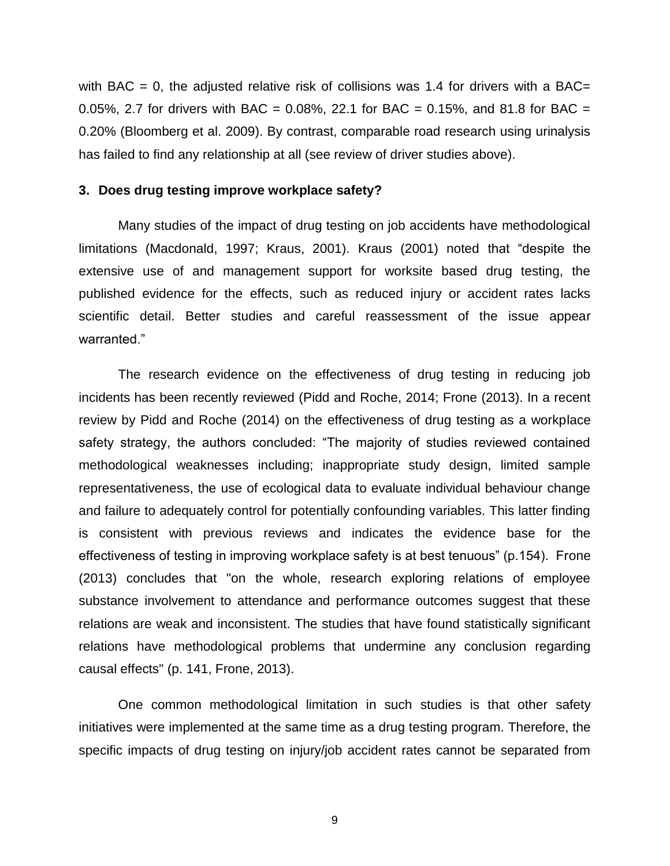with BAC = 0, the adjusted relative risk of collisions was 1.4 for drivers with a BAC= 0.05%, 2.7 for drivers with BAC = 0.08%, 22.1 for BAC = 0.15%, and 81.8 for BAC = 0.20% (Bloomberg et al. 2009). By contrast, comparable road research using urinalysis has failed to find any relationship at all (see review of driver studies above).

## **3. Does drug testing improve workplace safety?**

Many studies of the impact of drug testing on job accidents have methodological limitations (Macdonald, 1997; Kraus, 2001). Kraus (2001) noted that "despite the extensive use of and management support for worksite based drug testing, the published evidence for the effects, such as reduced injury or accident rates lacks scientific detail. Better studies and careful reassessment of the issue appear warranted."

The research evidence on the effectiveness of drug testing in reducing job incidents has been recently reviewed (Pidd and Roche, 2014; Frone (2013). In a recent review by Pidd and Roche (2014) on the effectiveness of drug testing as a workplace safety strategy, the authors concluded: "The majority of studies reviewed contained methodological weaknesses including; inappropriate study design, limited sample representativeness, the use of ecological data to evaluate individual behaviour change and failure to adequately control for potentially confounding variables. This latter finding is consistent with previous reviews and indicates the evidence base for the effectiveness of testing in improving workplace safety is at best tenuous" (p.154). Frone (2013) concludes that "on the whole, research exploring relations of employee substance involvement to attendance and performance outcomes suggest that these relations are weak and inconsistent. The studies that have found statistically significant relations have methodological problems that undermine any conclusion regarding causal effects" (p. 141, Frone, 2013).

One common methodological limitation in such studies is that other safety initiatives were implemented at the same time as a drug testing program. Therefore, the specific impacts of drug testing on injury/job accident rates cannot be separated from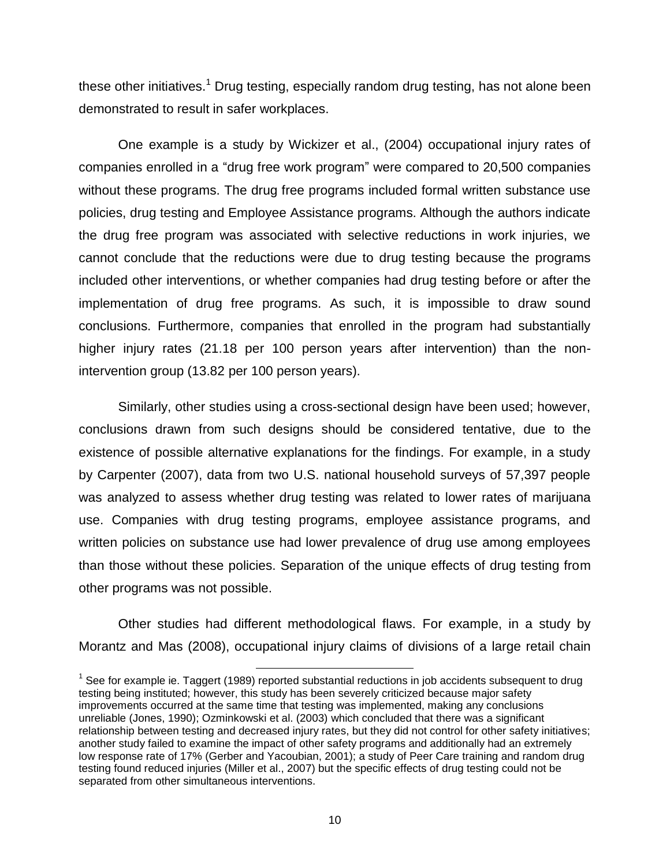these other initiatives.<sup>1</sup> Drug testing, especially random drug testing, has not alone been demonstrated to result in safer workplaces.

One example is a study by Wickizer et al., (2004) occupational injury rates of companies enrolled in a "drug free work program" were compared to 20,500 companies without these programs. The drug free programs included formal written substance use policies, drug testing and Employee Assistance programs. Although the authors indicate the drug free program was associated with selective reductions in work injuries, we cannot conclude that the reductions were due to drug testing because the programs included other interventions, or whether companies had drug testing before or after the implementation of drug free programs. As such, it is impossible to draw sound conclusions. Furthermore, companies that enrolled in the program had substantially higher injury rates (21.18 per 100 person years after intervention) than the nonintervention group (13.82 per 100 person years).

Similarly, other studies using a cross-sectional design have been used; however, conclusions drawn from such designs should be considered tentative, due to the existence of possible alternative explanations for the findings. For example, in a study by Carpenter (2007), data from two U.S. national household surveys of 57,397 people was analyzed to assess whether drug testing was related to lower rates of marijuana use. Companies with drug testing programs, employee assistance programs, and written policies on substance use had lower prevalence of drug use among employees than those without these policies. Separation of the unique effects of drug testing from other programs was not possible.

Other studies had different methodological flaws. For example, in a study by Morantz and Mas (2008), occupational injury claims of divisions of a large retail chain

l

 $1$  See for example ie. Taggert (1989) reported substantial reductions in job accidents subsequent to drug testing being instituted; however, this study has been severely criticized because major safety improvements occurred at the same time that testing was implemented, making any conclusions unreliable (Jones, 1990); Ozminkowski et al. (2003) which concluded that there was a significant relationship between testing and decreased injury rates, but they did not control for other safety initiatives; another study failed to examine the impact of other safety programs and additionally had an extremely low response rate of 17% (Gerber and Yacoubian, 2001); a study of Peer Care training and random drug testing found reduced injuries (Miller et al., 2007) but the specific effects of drug testing could not be separated from other simultaneous interventions.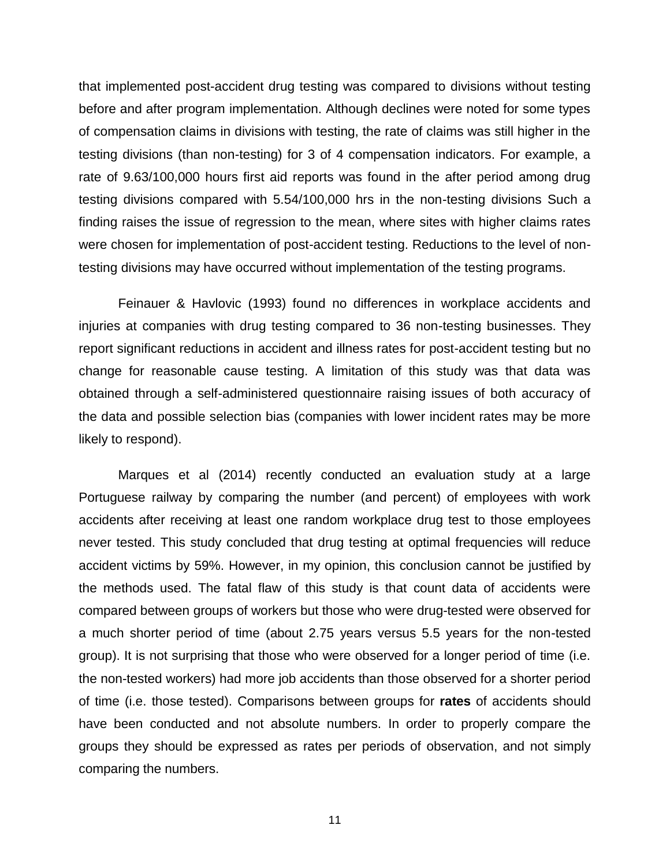that implemented post-accident drug testing was compared to divisions without testing before and after program implementation. Although declines were noted for some types of compensation claims in divisions with testing, the rate of claims was still higher in the testing divisions (than non-testing) for 3 of 4 compensation indicators. For example, a rate of 9.63/100,000 hours first aid reports was found in the after period among drug testing divisions compared with 5.54/100,000 hrs in the non-testing divisions Such a finding raises the issue of regression to the mean, where sites with higher claims rates were chosen for implementation of post-accident testing. Reductions to the level of nontesting divisions may have occurred without implementation of the testing programs.

Feinauer & Havlovic (1993) found no differences in workplace accidents and injuries at companies with drug testing compared to 36 non-testing businesses. They report significant reductions in accident and illness rates for post-accident testing but no change for reasonable cause testing. A limitation of this study was that data was obtained through a self-administered questionnaire raising issues of both accuracy of the data and possible selection bias (companies with lower incident rates may be more likely to respond).

Marques et al (2014) recently conducted an evaluation study at a large Portuguese railway by comparing the number (and percent) of employees with work accidents after receiving at least one random workplace drug test to those employees never tested. This study concluded that drug testing at optimal frequencies will reduce accident victims by 59%. However, in my opinion, this conclusion cannot be justified by the methods used. The fatal flaw of this study is that count data of accidents were compared between groups of workers but those who were drug-tested were observed for a much shorter period of time (about 2.75 years versus 5.5 years for the non-tested group). It is not surprising that those who were observed for a longer period of time (i.e. the non-tested workers) had more job accidents than those observed for a shorter period of time (i.e. those tested). Comparisons between groups for **rates** of accidents should have been conducted and not absolute numbers. In order to properly compare the groups they should be expressed as rates per periods of observation, and not simply comparing the numbers.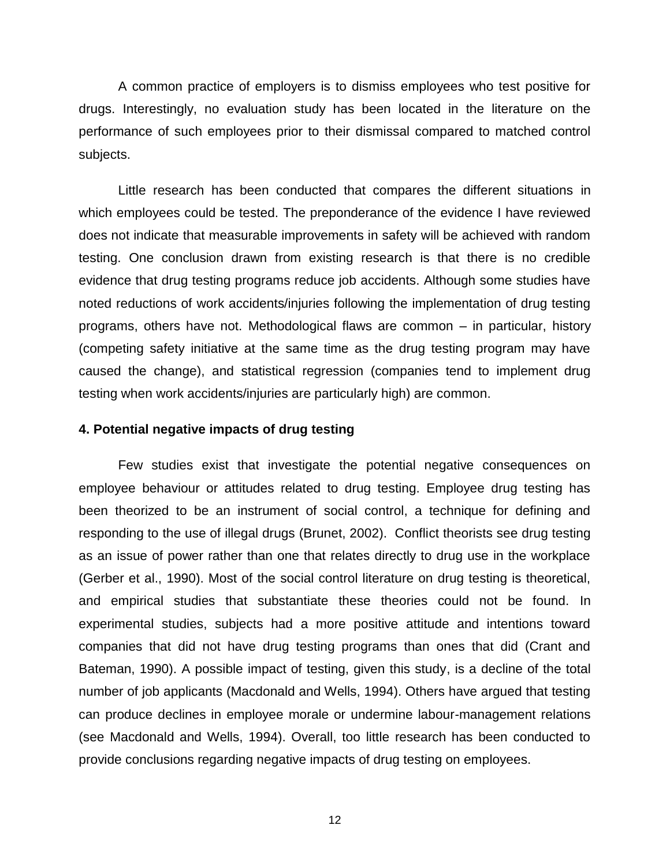A common practice of employers is to dismiss employees who test positive for drugs. Interestingly, no evaluation study has been located in the literature on the performance of such employees prior to their dismissal compared to matched control subjects.

Little research has been conducted that compares the different situations in which employees could be tested. The preponderance of the evidence I have reviewed does not indicate that measurable improvements in safety will be achieved with random testing. One conclusion drawn from existing research is that there is no credible evidence that drug testing programs reduce job accidents. Although some studies have noted reductions of work accidents/injuries following the implementation of drug testing programs, others have not. Methodological flaws are common – in particular, history (competing safety initiative at the same time as the drug testing program may have caused the change), and statistical regression (companies tend to implement drug testing when work accidents/injuries are particularly high) are common.

### **4. Potential negative impacts of drug testing**

Few studies exist that investigate the potential negative consequences on employee behaviour or attitudes related to drug testing. Employee drug testing has been theorized to be an instrument of social control, a technique for defining and responding to the use of illegal drugs (Brunet, 2002). Conflict theorists see drug testing as an issue of power rather than one that relates directly to drug use in the workplace (Gerber et al., 1990). Most of the social control literature on drug testing is theoretical, and empirical studies that substantiate these theories could not be found. In experimental studies, subjects had a more positive attitude and intentions toward companies that did not have drug testing programs than ones that did (Crant and Bateman, 1990). A possible impact of testing, given this study, is a decline of the total number of job applicants (Macdonald and Wells, 1994). Others have argued that testing can produce declines in employee morale or undermine labour-management relations (see Macdonald and Wells, 1994). Overall, too little research has been conducted to provide conclusions regarding negative impacts of drug testing on employees.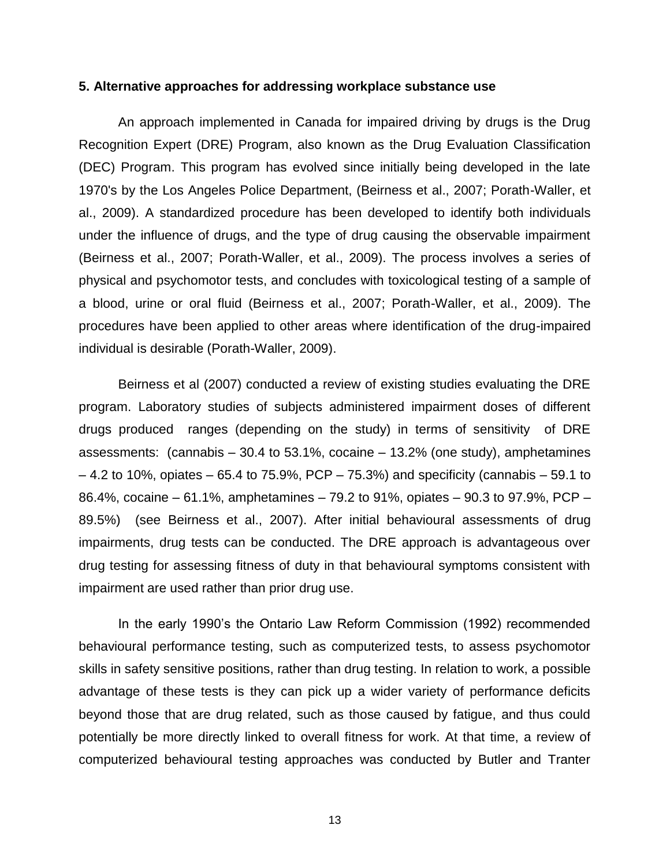#### **5. Alternative approaches for addressing workplace substance use**

An approach implemented in Canada for impaired driving by drugs is the Drug Recognition Expert (DRE) Program, also known as the Drug Evaluation Classification (DEC) Program. This program has evolved since initially being developed in the late 1970's by the Los Angeles Police Department, (Beirness et al., 2007; Porath-Waller, et al., 2009). A standardized procedure has been developed to identify both individuals under the influence of drugs, and the type of drug causing the observable impairment (Beirness et al., 2007; Porath-Waller, et al., 2009). The process involves a series of physical and psychomotor tests, and concludes with toxicological testing of a sample of a blood, urine or oral fluid (Beirness et al., 2007; Porath-Waller, et al., 2009). The procedures have been applied to other areas where identification of the drug-impaired individual is desirable (Porath-Waller, 2009).

Beirness et al (2007) conducted a review of existing studies evaluating the DRE program. Laboratory studies of subjects administered impairment doses of different drugs produced ranges (depending on the study) in terms of sensitivity of DRE assessments: (cannabis – 30.4 to 53.1%, cocaine – 13.2% (one study), amphetamines  $-4.2$  to 10%, opiates  $-65.4$  to 75.9%, PCP  $-75.3%$ ) and specificity (cannabis  $-59.1$  to 86.4%, cocaine – 61.1%, amphetamines – 79.2 to 91%, opiates – 90.3 to 97.9%, PCP – 89.5%) (see Beirness et al., 2007). After initial behavioural assessments of drug impairments, drug tests can be conducted. The DRE approach is advantageous over drug testing for assessing fitness of duty in that behavioural symptoms consistent with impairment are used rather than prior drug use.

In the early 1990's the Ontario Law Reform Commission (1992) recommended behavioural performance testing, such as computerized tests, to assess psychomotor skills in safety sensitive positions, rather than drug testing. In relation to work, a possible advantage of these tests is they can pick up a wider variety of performance deficits beyond those that are drug related, such as those caused by fatigue, and thus could potentially be more directly linked to overall fitness for work. At that time, a review of computerized behavioural testing approaches was conducted by Butler and Tranter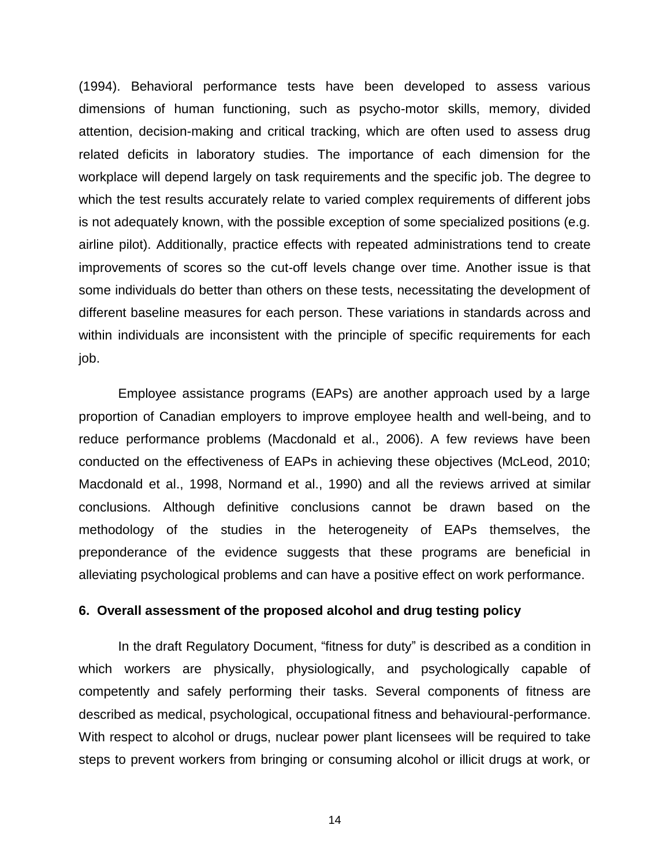(1994). Behavioral performance tests have been developed to assess various dimensions of human functioning, such as psycho-motor skills, memory, divided attention, decision-making and critical tracking, which are often used to assess drug related deficits in laboratory studies. The importance of each dimension for the workplace will depend largely on task requirements and the specific job. The degree to which the test results accurately relate to varied complex requirements of different jobs is not adequately known, with the possible exception of some specialized positions (e.g. airline pilot). Additionally, practice effects with repeated administrations tend to create improvements of scores so the cut-off levels change over time. Another issue is that some individuals do better than others on these tests, necessitating the development of different baseline measures for each person. These variations in standards across and within individuals are inconsistent with the principle of specific requirements for each job.

Employee assistance programs (EAPs) are another approach used by a large proportion of Canadian employers to improve employee health and well-being, and to reduce performance problems (Macdonald et al., 2006). A few reviews have been conducted on the effectiveness of EAPs in achieving these objectives (McLeod, 2010; Macdonald et al., 1998, Normand et al., 1990) and all the reviews arrived at similar conclusions. Although definitive conclusions cannot be drawn based on the methodology of the studies in the heterogeneity of EAPs themselves, the preponderance of the evidence suggests that these programs are beneficial in alleviating psychological problems and can have a positive effect on work performance.

## **6. Overall assessment of the proposed alcohol and drug testing policy**

In the draft Regulatory Document, "fitness for duty" is described as a condition in which workers are physically, physiologically, and psychologically capable of competently and safely performing their tasks. Several components of fitness are described as medical, psychological, occupational fitness and behavioural-performance. With respect to alcohol or drugs, nuclear power plant licensees will be required to take steps to prevent workers from bringing or consuming alcohol or illicit drugs at work, or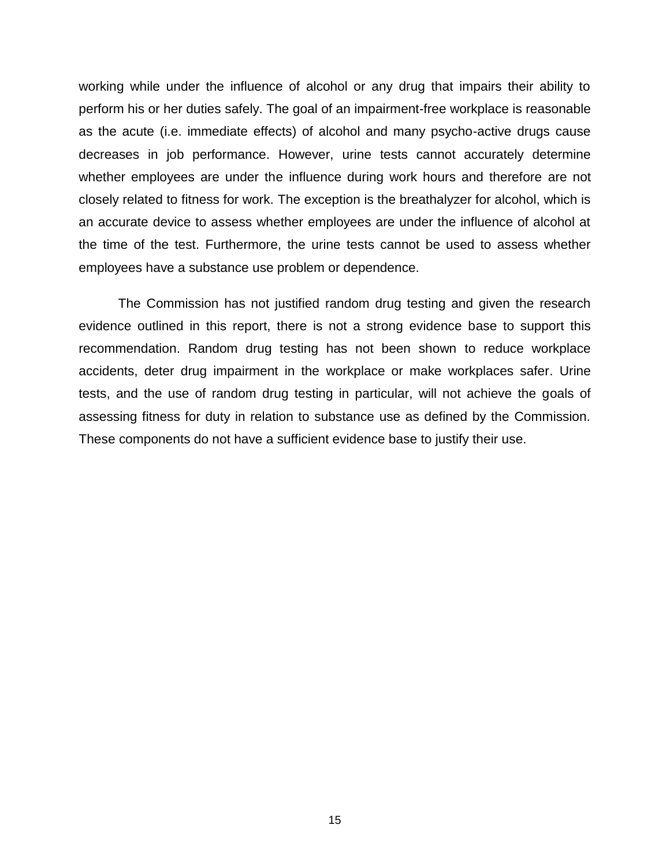working while under the influence of alcohol or any drug that impairs their ability to perform his or her duties safely. The goal of an impairment-free workplace is reasonable as the acute (i.e. immediate effects) of alcohol and many psycho-active drugs cause decreases in job performance. However, urine tests cannot accurately determine whether employees are under the influence during work hours and therefore are not closely related to fitness for work. The exception is the breathalyzer for alcohol, which is an accurate device to assess whether employees are under the influence of alcohol at the time of the test. Furthermore, the urine tests cannot be used to assess whether employees have a substance use problem or dependence.

The Commission has not justified random drug testing and given the research evidence outlined in this report, there is not a strong evidence base to support this recommendation. Random drug testing has not been shown to reduce workplace accidents, deter drug impairment in the workplace or make workplaces safer. Urine tests, and the use of random drug testing in particular, will not achieve the goals of assessing fitness for duty in relation to substance use as defined by the Commission. These components do not have a sufficient evidence base to justify their use.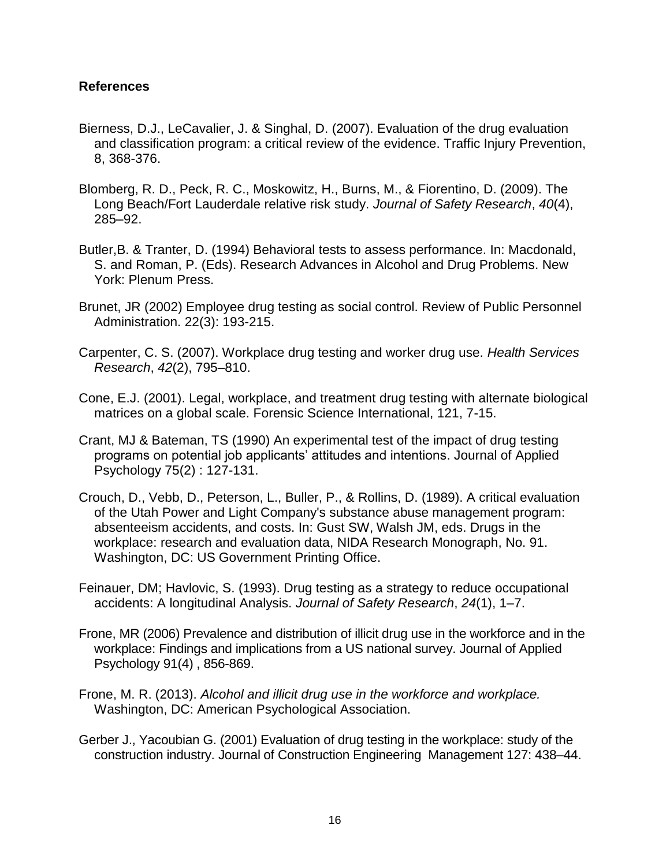## **References**

- Bierness, D.J., LeCavalier, J. & Singhal, D. (2007). Evaluation of the drug evaluation and classification program: a critical review of the evidence. Traffic Injury Prevention, 8, 368-376.
- Blomberg, R. D., Peck, R. C., Moskowitz, H., Burns, M., & Fiorentino, D. (2009). The Long Beach/Fort Lauderdale relative risk study. *Journal of Safety Research*, *40*(4), 285–92.
- Butler,B. & Tranter, D. (1994) Behavioral tests to assess performance. In: Macdonald, S. and Roman, P. (Eds). Research Advances in Alcohol and Drug Problems. New York: Plenum Press.
- Brunet, JR (2002) Employee drug testing as social control. Review of Public Personnel Administration. 22(3): 193-215.
- Carpenter, C. S. (2007). Workplace drug testing and worker drug use. *Health Services Research*, *42*(2), 795–810.
- Cone, E.J. (2001). Legal, workplace, and treatment drug testing with alternate biological matrices on a global scale. Forensic Science International, 121, 7-15.
- Crant, MJ & Bateman, TS (1990) An experimental test of the impact of drug testing programs on potential job applicants' attitudes and intentions. Journal of Applied Psychology 75(2) : 127-131.
- Crouch, D., Vebb, D., Peterson, L., Buller, P., & Rollins, D. (1989). A critical evaluation of the Utah Power and Light Company's substance abuse management program: absenteeism accidents, and costs. In: Gust SW, Walsh JM, eds. Drugs in the workplace: research and evaluation data, NIDA Research Monograph, No. 91. Washington, DC: US Government Printing Office.
- Feinauer, DM; Havlovic, S. (1993). Drug testing as a strategy to reduce occupational accidents: A longitudinal Analysis. *Journal of Safety Research*, *24*(1), 1–7.
- Frone, MR (2006) Prevalence and distribution of illicit drug use in the workforce and in the workplace: Findings and implications from a US national survey. Journal of Applied Psychology 91(4) , 856-869.
- Frone, M. R. (2013). *Alcohol and illicit drug use in the workforce and workplace.* Washington, DC: American Psychological Association.
- Gerber J., Yacoubian G. (2001) Evaluation of drug testing in the workplace: study of the construction industry. Journal of Construction Engineering Management 127: 438–44.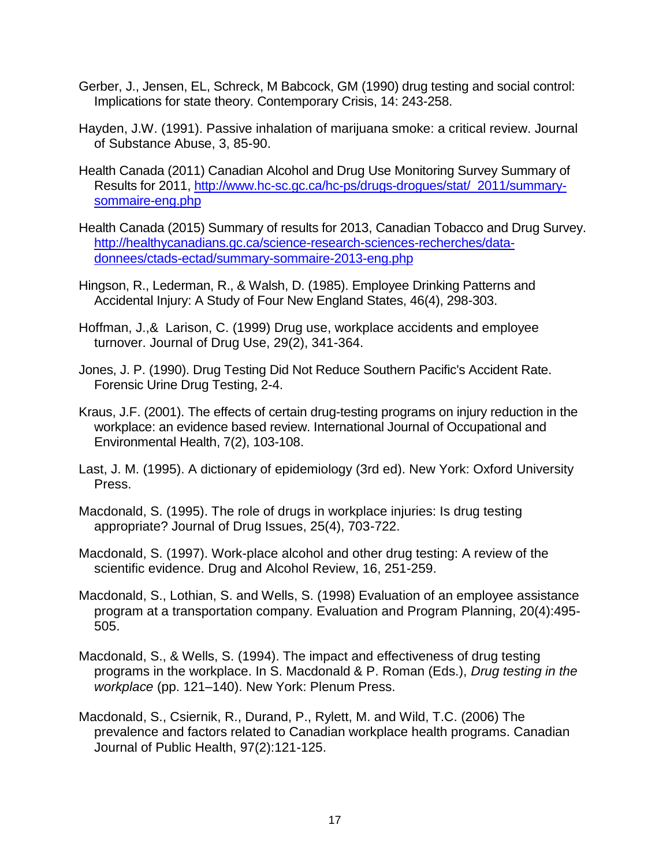- Gerber, J., Jensen, EL, Schreck, M Babcock, GM (1990) drug testing and social control: Implications for state theory. Contemporary Crisis, 14: 243-258.
- Hayden, J.W. (1991). Passive inhalation of marijuana smoke: a critical review. Journal of Substance Abuse, 3, 85-90.
- Health Canada (2011) Canadian Alcohol and Drug Use Monitoring Survey Summary of Results for 2011, [http://www.hc-sc.gc.ca/hc-ps/drugs-drogues/stat/\\_2011/summary](http://www.hc-sc.gc.ca/hc-ps/drugs-drogues/stat/_2011/summary-sommaire-eng.php)[sommaire-eng.php](http://www.hc-sc.gc.ca/hc-ps/drugs-drogues/stat/_2011/summary-sommaire-eng.php)
- Health Canada (2015) Summary of results for 2013, Canadian Tobacco and Drug Survey. [http://healthycanadians.gc.ca/science-research-sciences-recherches/data](http://healthycanadians.gc.ca/science-research-sciences-recherches/data-donnees/ctads-ectad/summary-sommaire-2013-eng.php)[donnees/ctads-ectad/summary-sommaire-2013-eng.php](http://healthycanadians.gc.ca/science-research-sciences-recherches/data-donnees/ctads-ectad/summary-sommaire-2013-eng.php)
- Hingson, R., Lederman, R., & Walsh, D. (1985). Employee Drinking Patterns and Accidental Injury: A Study of Four New England States, 46(4), 298-303.
- Hoffman, J.,& Larison, C. (1999) Drug use, workplace accidents and employee turnover. Journal of Drug Use, 29(2), 341-364.
- Jones, J. P. (1990). Drug Testing Did Not Reduce Southern Pacific's Accident Rate. Forensic Urine Drug Testing, 2-4.
- Kraus, J.F. (2001). The effects of certain drug-testing programs on injury reduction in the workplace: an evidence based review. International Journal of Occupational and Environmental Health, 7(2), 103-108.
- Last, J. M. (1995). A dictionary of epidemiology (3rd ed). New York: Oxford University Press.
- Macdonald, S. (1995). The role of drugs in workplace injuries: Is drug testing appropriate? Journal of Drug Issues, 25(4), 703-722.
- Macdonald, S. (1997). Work-place alcohol and other drug testing: A review of the scientific evidence. Drug and Alcohol Review, 16, 251-259.
- Macdonald, S., Lothian, S. and Wells, S. (1998) Evaluation of an employee assistance program at a transportation company. Evaluation and Program Planning, 20(4):495- 505.
- Macdonald, S., & Wells, S. (1994). The impact and effectiveness of drug testing programs in the workplace. In S. Macdonald & P. Roman (Eds.), *Drug testing in the workplace* (pp. 121–140). New York: Plenum Press.
- Macdonald, S., Csiernik, R., Durand, P., Rylett, M. and Wild, T.C. (2006) The prevalence and factors related to Canadian workplace health programs. Canadian Journal of Public Health, 97(2):121-125.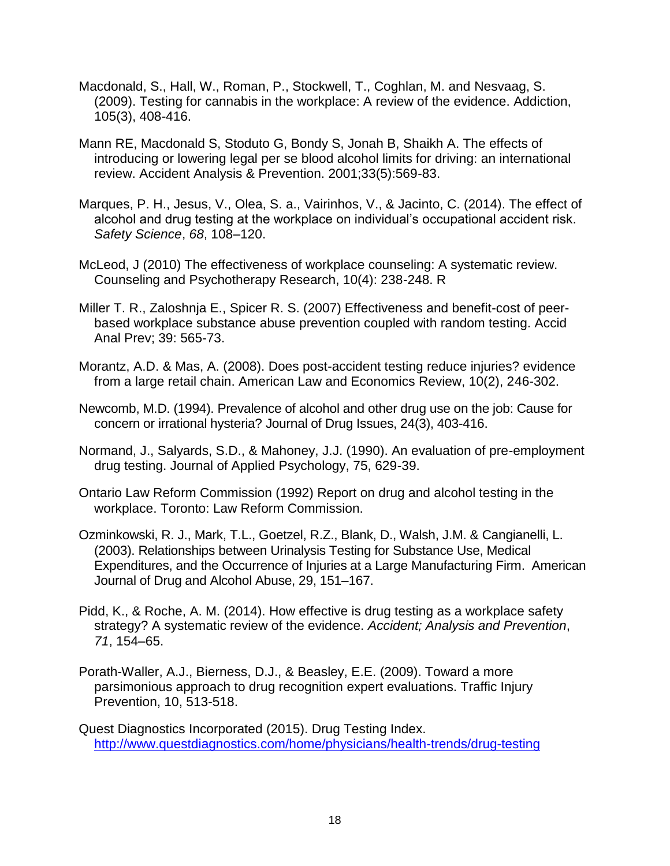- Macdonald, S., Hall, W., Roman, P., Stockwell, T., Coghlan, M. and Nesvaag, S. (2009). Testing for cannabis in the workplace: A review of the evidence. Addiction, 105(3), 408-416.
- Mann RE, Macdonald S, Stoduto G, Bondy S, Jonah B, Shaikh A. The effects of introducing or lowering legal per se blood alcohol limits for driving: an international review. Accident Analysis & Prevention. 2001;33(5):569-83.
- Marques, P. H., Jesus, V., Olea, S. a., Vairinhos, V., & Jacinto, C. (2014). The effect of alcohol and drug testing at the workplace on individual's occupational accident risk. *Safety Science*, *68*, 108–120.
- McLeod, J (2010) The effectiveness of workplace counseling: A systematic review. Counseling and Psychotherapy Research, 10(4): 238-248. R
- Miller T. R., Zaloshnja E., Spicer R. S. (2007) Effectiveness and benefit-cost of peerbased workplace substance abuse prevention coupled with random testing. Accid Anal Prev; 39: 565-73.
- Morantz, A.D. & Mas, A. (2008). Does post-accident testing reduce injuries? evidence from a large retail chain. American Law and Economics Review, 10(2), 246-302.
- Newcomb, M.D. (1994). Prevalence of alcohol and other drug use on the job: Cause for concern or irrational hysteria? Journal of Drug Issues, 24(3), 403-416.
- Normand, J., Salyards, S.D., & Mahoney, J.J. (1990). An evaluation of pre-employment drug testing. Journal of Applied Psychology, 75, 629-39.
- Ontario Law Reform Commission (1992) Report on drug and alcohol testing in the workplace. Toronto: Law Reform Commission.
- Ozminkowski, R. J., Mark, T.L., Goetzel, R.Z., Blank, D., Walsh, J.M. & Cangianelli, L. (2003). Relationships between Urinalysis Testing for Substance Use, Medical Expenditures, and the Occurrence of Injuries at a Large Manufacturing Firm. American Journal of Drug and Alcohol Abuse, 29, 151–167.
- Pidd, K., & Roche, A. M. (2014). How effective is drug testing as a workplace safety strategy? A systematic review of the evidence. *Accident; Analysis and Prevention*, *71*, 154–65.
- Porath-Waller, A.J., Bierness, D.J., & Beasley, E.E. (2009). Toward a more parsimonious approach to drug recognition expert evaluations. Traffic Injury Prevention, 10, 513-518.
- Quest Diagnostics Incorporated (2015). Drug Testing Index. <http://www.questdiagnostics.com/home/physicians/health-trends/drug-testing>